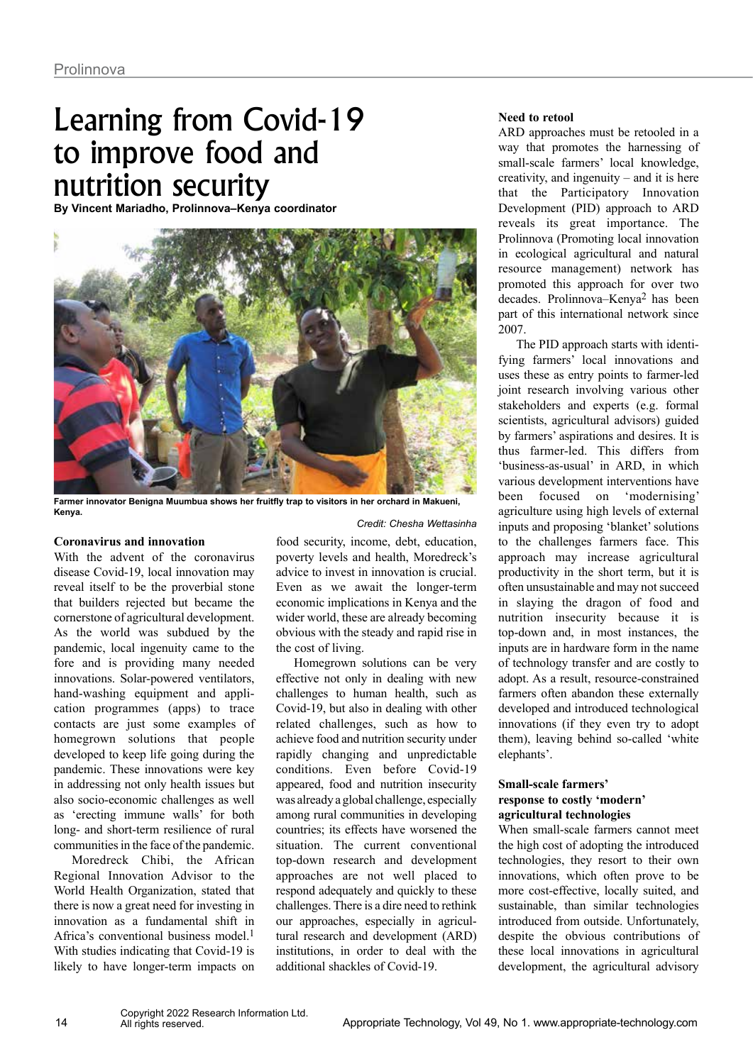# Learning from Covid-19 to improve food and nutrition security

**By Vincent Mariadho, Prolinnova–Kenya coordinator**



**Farmer innovator Benigna Muumbua shows her fruitfly trap to visitors in her orchard in Makueni, Kenya.**

#### **Coronavirus and innovation**

With the advent of the coronavirus disease Covid-19, local innovation may reveal itself to be the proverbial stone that builders rejected but became the cornerstone of agricultural development. As the world was subdued by the pandemic, local ingenuity came to the fore and is providing many needed innovations. Solar-powered ventilators, hand-washing equipment and application programmes (apps) to trace contacts are just some examples of homegrown solutions that people developed to keep life going during the pandemic. These innovations were key in addressing not only health issues but also socio-economic challenges as well as 'erecting immune walls' for both long- and short-term resilience of rural communities in the face of the pandemic.

Moredreck Chibi, the African Regional Innovation Advisor to the World Health Organization, stated that there is now a great need for investing in innovation as a fundamental shift in Africa's conventional business model.1 With studies indicating that Covid-19 is likely to have longer-term impacts on

food security, income, debt, education, poverty levels and health, Moredreck's advice to invest in innovation is crucial. Even as we await the longer-term economic implications in Kenya and the wider world, these are already becoming obvious with the steady and rapid rise in the cost of living.

*Credit: Chesha Wettasinha*

Homegrown solutions can be very effective not only in dealing with new challenges to human health, such as Covid-19, but also in dealing with other related challenges, such as how to achieve food and nutrition security under rapidly changing and unpredictable conditions. Even before Covid-19 appeared, food and nutrition insecurity was already a global challenge, especially among rural communities in developing countries; its effects have worsened the situation. The current conventional top-down research and development approaches are not well placed to respond adequately and quickly to these challenges. There is a dire need to rethink our approaches, especially in agricultural research and development (ARD) institutions, in order to deal with the additional shackles of Covid-19.

## **Need to retool**

ARD approaches must be retooled in a way that promotes the harnessing of small-scale farmers' local knowledge, creativity, and ingenuity – and it is here that the Participatory Innovation Development (PID) approach to ARD reveals its great importance. The Prolinnova (Promoting local innovation in ecological agricultural and natural resource management) network has promoted this approach for over two decades. Prolinnova–Kenya2 has been part of this international network since 2007.

The PID approach starts with identifying farmers' local innovations and uses these as entry points to farmer-led joint research involving various other stakeholders and experts (e.g. formal scientists, agricultural advisors) guided by farmers' aspirations and desires. It is thus farmer-led. This differs from 'business-as-usual' in ARD, in which various development interventions have been focused on 'modernising' agriculture using high levels of external inputs and proposing 'blanket' solutions to the challenges farmers face. This approach may increase agricultural productivity in the short term, but it is often unsustainable and may not succeed in slaying the dragon of food and nutrition insecurity because it is top-down and, in most instances, the inputs are in hardware form in the name of technology transfer and are costly to adopt. As a result, resource-constrained farmers often abandon these externally developed and introduced technological innovations (if they even try to adopt them), leaving behind so-called 'white elephants'.

# **Small-scale farmers' response to costly 'modern' agricultural technologies**

When small-scale farmers cannot meet the high cost of adopting the introduced technologies, they resort to their own innovations, which often prove to be more cost-effective, locally suited, and sustainable, than similar technologies introduced from outside. Unfortunately, despite the obvious contributions of these local innovations in agricultural development, the agricultural advisory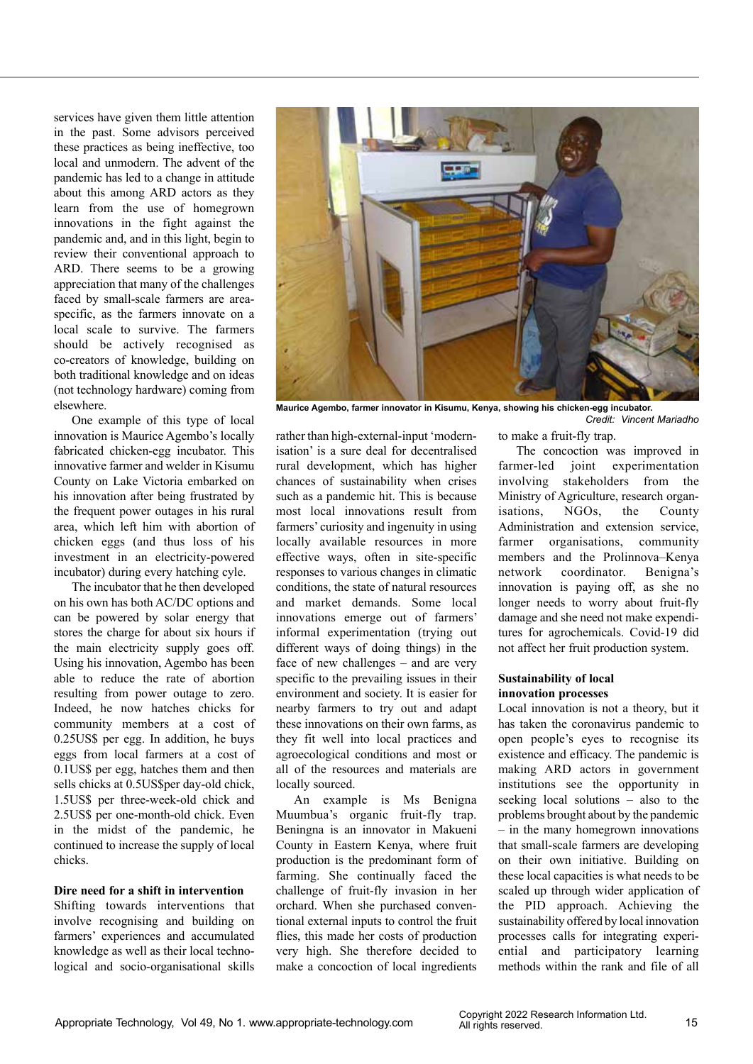services have given them little attention in the past. Some advisors perceived these practices as being ineffective, too local and unmodern. The advent of the pandemic has led to a change in attitude about this among ARD actors as they learn from the use of homegrown innovations in the fight against the pandemic and, and in this light, begin to review their conventional approach to ARD. There seems to be a growing appreciation that many of the challenges faced by small-scale farmers are areaspecific, as the farmers innovate on a local scale to survive. The farmers should be actively recognised as co-creators of knowledge, building on both traditional knowledge and on ideas (not technology hardware) coming from elsewhere.

One example of this type of local innovation is Maurice Agembo's locally fabricated chicken-egg incubator. This innovative farmer and welder in Kisumu County on Lake Victoria embarked on his innovation after being frustrated by the frequent power outages in his rural area, which left him with abortion of chicken eggs (and thus loss of his investment in an electricity-powered incubator) during every hatching cyle.

The incubator that he then developed on his own has both AC/DC options and can be powered by solar energy that stores the charge for about six hours if the main electricity supply goes off. Using his innovation, Agembo has been able to reduce the rate of abortion resulting from power outage to zero. Indeed, he now hatches chicks for community members at a cost of 0.25US\$ per egg. In addition, he buys eggs from local farmers at a cost of 0.1US\$ per egg, hatches them and then sells chicks at 0.5US\$per day-old chick, 1.5US\$ per three-week-old chick and 2.5US\$ per one-month-old chick. Even in the midst of the pandemic, he continued to increase the supply of local chicks.

#### **Dire need for a shift in intervention**

Shifting towards interventions that involve recognising and building on farmers' experiences and accumulated knowledge as well as their local technological and socio-organisational skills



**Maurice Agembo, farmer innovator in Kisumu, Kenya, showing his chicken-egg incubator.**  *Credit: Vincent Mariadho*

rather than high-external-input 'modernisation' is a sure deal for decentralised rural development, which has higher chances of sustainability when crises such as a pandemic hit. This is because most local innovations result from farmers' curiosity and ingenuity in using locally available resources in more effective ways, often in site-specific responses to various changes in climatic conditions, the state of natural resources and market demands. Some local innovations emerge out of farmers' informal experimentation (trying out different ways of doing things) in the face of new challenges – and are very specific to the prevailing issues in their environment and society. It is easier for nearby farmers to try out and adapt these innovations on their own farms, as they fit well into local practices and agroecological conditions and most or all of the resources and materials are locally sourced.

An example is Ms Benigna Muumbua's organic fruit-fly trap. Beningna is an innovator in Makueni County in Eastern Kenya, where fruit production is the predominant form of farming. She continually faced the challenge of fruit-fly invasion in her orchard. When she purchased conventional external inputs to control the fruit flies, this made her costs of production very high. She therefore decided to make a concoction of local ingredients

to make a fruit-fly trap. The concoction was improved in farmer-led joint experimentation involving stakeholders from the Ministry of Agriculture, research organisations, NGOs, the County Administration and extension service, farmer organisations, community members and the Prolinnova–Kenya network coordinator. Benigna's innovation is paying off, as she no longer needs to worry about fruit-fly damage and she need not make expenditures for agrochemicals. Covid-19 did not affect her fruit production system.

### **Sustainability of local innovation processes**

Local innovation is not a theory, but it has taken the coronavirus pandemic to open people's eyes to recognise its existence and efficacy. The pandemic is making ARD actors in government institutions see the opportunity in seeking local solutions – also to the problems brought about by the pandemic – in the many homegrown innovations that small-scale farmers are developing on their own initiative. Building on these local capacities is what needs to be scaled up through wider application of the PID approach. Achieving the sustainability offered by local innovation processes calls for integrating experiential and participatory learning methods within the rank and file of all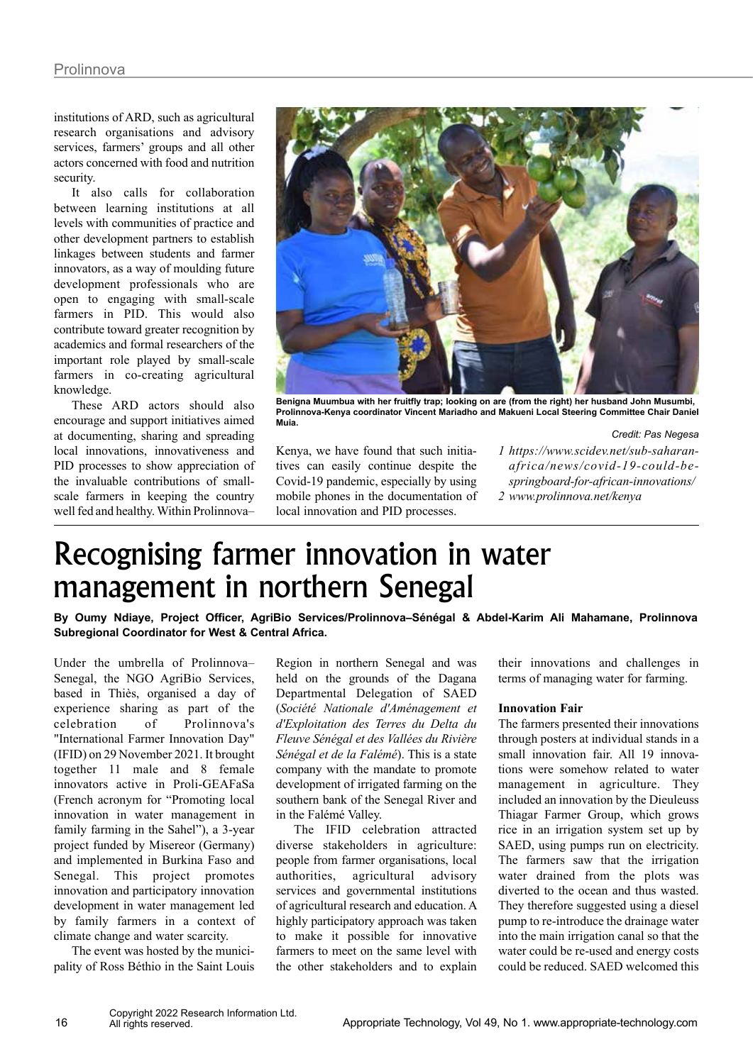institutions of ARD, such as agricultural research organisations and advisory services, farmers' groups and all other actors concerned with food and nutrition security.

It also calls for collaboration between learning institutions at all levels with communities of practice and other development partners to establish linkages between students and farmer innovators, as a way of moulding future development professionals who are open to engaging with small-scale farmers in PID. This would also contribute toward greater recognition by academics and formal researchers of the important role played by small-scale farmers in co-creating agricultural knowledge.

These ARD actors should also encourage and support initiatives aimed at documenting, sharing and spreading local innovations, innovativeness and PID processes to show appreciation of the invaluable contributions of smallscale farmers in keeping the country well fed and healthy. Within Prolinnova–



**Benigna Muumbua with her fruitfly trap; looking on are (from the right) her husband John Musumbi, Prolinnova-Kenya coordinator Vincent Mariadho and Makueni Local Steering Committee Chair Daniel Muia.** 

*Credit: Pas Negesa*

Kenya, we have found that such initiatives can easily continue despite the Covid-19 pandemic, especially by using mobile phones in the documentation of local innovation and PID processes.

*1 https://www.scidev.net/sub-saharanafrica/news/covid-19-could-bespringboard-for-african-innovations/ 2 www.prolinnova.net/kenya*

# Recognising farmer innovation in water management in northern Senegal

**By Oumy Ndiaye, Project Officer, AgriBio Services/Prolinnova–Sénégal & Abdel-Karim Ali Mahamane, Prolinnova Subregional Coordinator for West & Central Africa.**

Under the umbrella of Prolinnova– Senegal, the NGO AgriBio Services, based in Thiès, organised a day of experience sharing as part of the celebration of Prolinnova's "International Farmer Innovation Day" (IFID) on 29 November 2021. It brought together 11 male and 8 female innovators active in Proli-GEAFaSa (French acronym for "Promoting local innovation in water management in family farming in the Sahel"), a 3-year project funded by Misereor (Germany) and implemented in Burkina Faso and Senegal. This project promotes innovation and participatory innovation development in water management led by family farmers in a context of climate change and water scarcity.

The event was hosted by the municipality of Ross Béthio in the Saint Louis

Region in northern Senegal and was held on the grounds of the Dagana Departmental Delegation of SAED (*Société Nationale d'Aménagement et d'Exploitation des Terres du Delta du Fleuve Sénégal et des Vallées du Rivière Sénégal et de la Falémé*). This is a state company with the mandate to promote development of irrigated farming on the southern bank of the Senegal River and in the Falémé Valley.

The IFID celebration attracted diverse stakeholders in agriculture: people from farmer organisations, local authorities, agricultural advisory services and governmental institutions of agricultural research and education. A highly participatory approach was taken to make it possible for innovative farmers to meet on the same level with the other stakeholders and to explain

their innovations and challenges in terms of managing water for farming.

## **Innovation Fair**

The farmers presented their innovations through posters at individual stands in a small innovation fair. All 19 innovations were somehow related to water management in agriculture. They included an innovation by the Dieuleuss Thiagar Farmer Group, which grows rice in an irrigation system set up by SAED, using pumps run on electricity. The farmers saw that the irrigation water drained from the plots was diverted to the ocean and thus wasted. They therefore suggested using a diesel pump to re-introduce the drainage water into the main irrigation canal so that the water could be re-used and energy costs could be reduced. SAED welcomed this